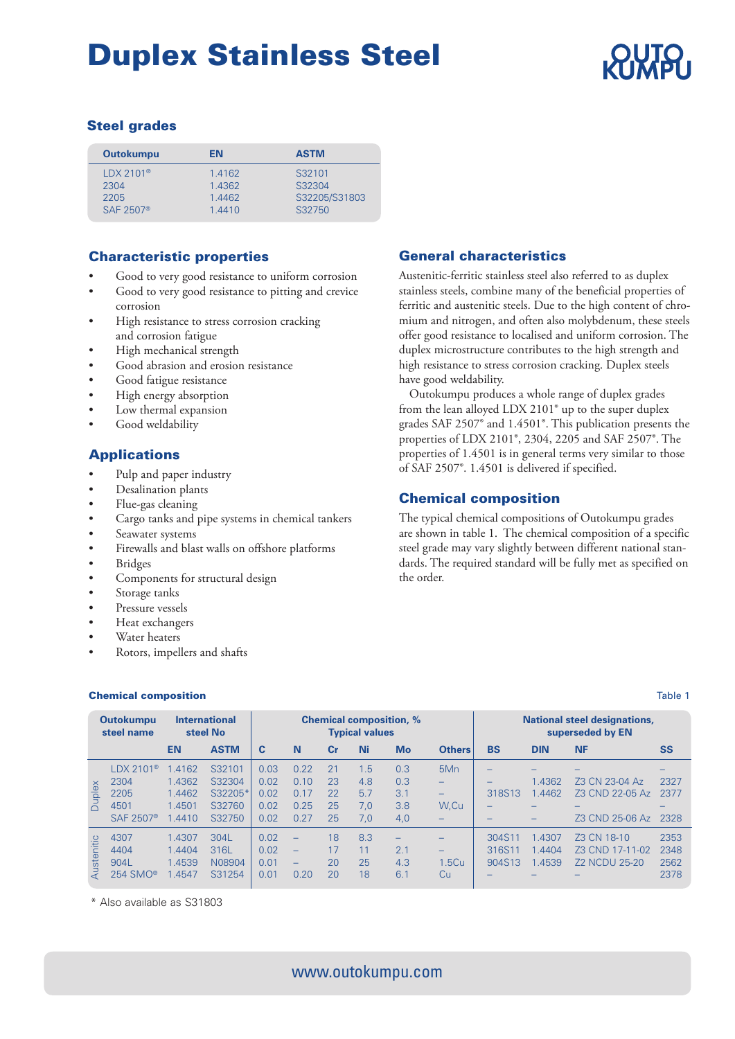# Steel grades

| <b>Outokumpu</b>      | EN               | <b>ASTM</b>             |
|-----------------------|------------------|-------------------------|
| $LDX 2101^{\circ}$    | 1.4162           | S32101                  |
| 2304<br>2205          | 1.4362<br>1.4462 | S32304<br>S32205/S31803 |
| SAF 2507 <sup>®</sup> | 1.4410           | S32750                  |

# Characteristic properties

- Good to very good resistance to uniform corrosion
- Good to very good resistance to pitting and crevice corrosion
- High resistance to stress corrosion cracking and corrosion fatigue
- High mechanical strength
- Good abrasion and erosion resistance
- Good fatigue resistance
- High energy absorption
- Low thermal expansion
- Good weldability

# Applications

- Pulp and paper industry
- Desalination plants
- Flue-gas cleaning
- Cargo tanks and pipe systems in chemical tankers
- Seawater systems
- Firewalls and blast walls on offshore platforms
- **Bridges**
- Components for structural design
- Storage tanks
- Pressure vessels
- Heat exchangers
- Water heaters
- Rotors, impellers and shafts

### **Chemical composition** Table 1

# General characteristics

Austenitic-ferritic stainless steel also referred to as duplex stainless steels, combine many of the beneficial properties of ferritic and austenitic steels. Due to the high content of chromium and nitrogen, and often also molybdenum, these steels offer good resistance to localised and uniform corrosion. The duplex microstructure contributes to the high strength and high resistance to stress corrosion cracking. Duplex steels have good weldability.

 Outokumpu produces a whole range of duplex grades from the lean alloyed LDX 2101® up to the super duplex grades SAF 2507® and 1.4501®. This publication presents the properties of LDX 2101®, 2304, 2205 and SAF 2507®. The properties of 1.4501 is in general terms very similar to those of SAF 2507®. 1.4501 is delivered if specified.

# Chemical composition

The typical chemical compositions of Outokumpu grades are shown in table 1. The chemical composition of a specific steel grade may vary slightly between different national standards. The required standard will be fully met as specified on the order.

|            | <b>Outokumpu</b><br>steel name |        | <b>International</b><br>steel No |      |                          |                | <b>Typical values</b> | <b>Chemical composition, %</b> |                          |           |            | <b>National steel designations,</b><br>superseded by EN |                          |
|------------|--------------------------------|--------|----------------------------------|------|--------------------------|----------------|-----------------------|--------------------------------|--------------------------|-----------|------------|---------------------------------------------------------|--------------------------|
|            |                                | EN     | <b>ASTM</b>                      | C    | N                        | c <sub>r</sub> | Ni                    | Mo                             | <b>Others</b>            | <b>BS</b> | <b>DIN</b> | <b>NF</b>                                               | <b>SS</b>                |
|            | $LDX 2101$ <sup>®</sup>        | .4162  | S32101                           | 0.03 | 0.22                     | 21             | 1.5                   | 0.3                            | 5M <sub>n</sub>          |           |            |                                                         |                          |
|            | 2304                           | 1.4362 | S32304                           | 0.02 | 0.10                     | 23             | 4.8                   | 0.3                            | -                        |           | 1.4362     | Z3 CN 23-04 Az                                          | 2327                     |
| Duplex     | 2205                           | 1.4462 | S32205*                          | 0.02 | 0.17                     | 22             | 5.7                   | 3.1                            | $\overline{\phantom{0}}$ | 318S13    | 1.4462     | Z3 CND 22-05 Az                                         | 2377                     |
|            | 4501                           | 1.4501 | S32760                           | 0.02 | 0.25                     | 25             | 7.0                   | 3.8                            | W.Cu                     |           | -          |                                                         | $\overline{\phantom{0}}$ |
|            | SAF 2507 <sup>®</sup>          | .4410  | S32750                           | 0.02 | 0.27                     | 25             | 7,0                   | 4,0                            | $\overline{\phantom{0}}$ |           |            | Z3 CND 25-06 Az                                         | 2328                     |
|            | 4307                           | 1.4307 | 304L                             | 0.02 | $\overline{\phantom{0}}$ | 18             | 8.3                   | $\overline{\phantom{0}}$       |                          | 304S11    | 1.4307     | Z3 CN 18-10                                             | 2353                     |
| Austenitic | 4404                           | 1.4404 | 316L                             | 0.02 | $\overline{\phantom{m}}$ | 17             | 11                    | 2.1                            | $\overline{\phantom{0}}$ | 316S11    | .4404      | Z3 CND 17-11-02                                         | 2348                     |
|            | 904L                           | 1.4539 | N08904                           | 0.01 | $\overline{\phantom{0}}$ | 20             | 25                    | 4.3                            | 1.5Cu                    | 904S13    | 1.4539     | <b>Z2 NCDU 25-20</b>                                    | 2562                     |
|            | $254$ SMO®                     | .4547  | S31254                           | 0.01 | 0.20                     | 20             | 18                    | 6.1                            | Cu                       |           |            |                                                         | 2378                     |

\* Also available as S31803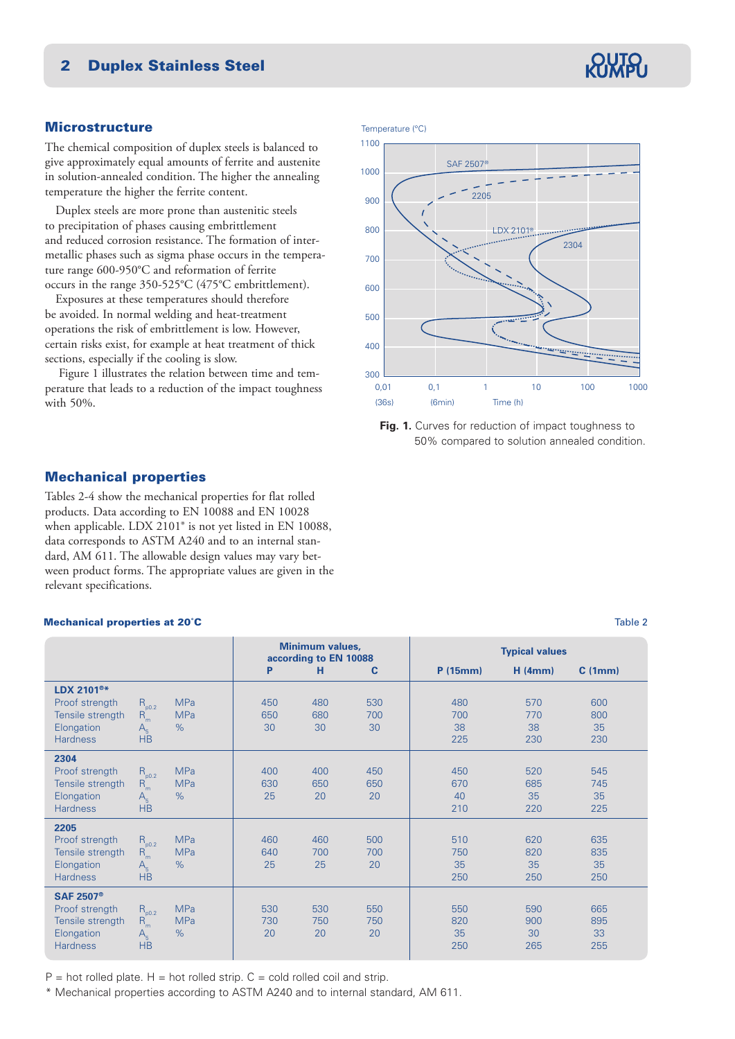# **Microstructure**

The chemical composition of duplex steels is balanced to give approximately equal amounts of ferrite and austenite in solution-annealed condition. The higher the annealing temperature the higher the ferrite content.

 Duplex steels are more prone than austenitic steels to precipitation of phases causing embrittlement and reduced corrosion resistance. The formation of intermetallic phases such as sigma phase occurs in the temperature range 600-950°C and reformation of ferrite occurs in the range 350-525°C (475°C embrittlement).

 Exposures at these temperatures should therefore be avoided. In normal welding and heat-treatment operations the risk of embrittlement is low. However, certain risks exist, for example at heat treatment of thick sections, especially if the cooling is slow.

Figure 1 illustrates the relation between time and temperature that leads to a reduction of the impact toughness with 50%.

Temperature (°C)





# Mechanical properties

Tables 2-4 show the mechanical properties for flat rolled products. Data according to EN 10088 and EN 10028 when applicable. LDX 2101® is not yet listed in EN 10088, data corresponds to ASTM A240 and to an internal standard, AM 611. The allowable design values may vary between product forms. The appropriate values are given in the relevant specifications.

#### **Mechanical properties at 20°C** Table 2

|                                                                                                    |                                                  |                                  |                  | <b>Minimum values,</b><br>according to EN 10088 |                  |                         | <b>Typical values</b>   |                         |
|----------------------------------------------------------------------------------------------------|--------------------------------------------------|----------------------------------|------------------|-------------------------------------------------|------------------|-------------------------|-------------------------|-------------------------|
|                                                                                                    |                                                  |                                  | P                | н                                               | C                | P(15mm)                 | H(4mm)                  | C(1mm)                  |
| LDX 2101 <sup>®*</sup><br>Proof strength<br>Tensile strength<br>Elongation<br><b>Hardness</b>      | $R_{p0.2}$<br>$R_m$<br>$A_{\kappa}$<br><b>HB</b> | <b>MPa</b><br><b>MPa</b><br>$\%$ | 450<br>650<br>30 | 480<br>680<br>30                                | 530<br>700<br>30 | 480<br>700<br>38<br>225 | 570<br>770<br>38<br>230 | 600<br>800<br>35<br>230 |
| 2304<br>Proof strength<br>Tensile strength<br>Elongation<br><b>Hardness</b>                        | $R_{p0.2}$<br>$R_m$<br>$A_{\kappa}$<br><b>HB</b> | <b>MPa</b><br><b>MPa</b><br>$\%$ | 400<br>630<br>25 | 400<br>650<br>20                                | 450<br>650<br>20 | 450<br>670<br>40<br>210 | 520<br>685<br>35<br>220 | 545<br>745<br>35<br>225 |
| 2205<br>Proof strength<br>Tensile strength<br>Elongation<br><b>Hardness</b>                        | $R_{p0.2}$<br>$R_m$<br>$A_{5}$<br><b>HB</b>      | <b>MPa</b><br><b>MPa</b><br>$\%$ | 460<br>640<br>25 | 460<br>700<br>25                                | 500<br>700<br>20 | 510<br>750<br>35<br>250 | 620<br>820<br>35<br>250 | 635<br>835<br>35<br>250 |
| <b>SAF 2507<sup>®</sup></b><br>Proof strength<br>Tensile strength<br>Elongation<br><b>Hardness</b> | $R_{p0.2}$<br>$R_m$<br>$A_{\kappa}$<br><b>HB</b> | <b>MPa</b><br><b>MPa</b><br>$\%$ | 530<br>730<br>20 | 530<br>750<br>20                                | 550<br>750<br>20 | 550<br>820<br>35<br>250 | 590<br>900<br>30<br>265 | 665<br>895<br>33<br>255 |

 $P =$  hot rolled plate. H = hot rolled strip.  $C =$  cold rolled coil and strip.

\* Mechanical properties according to ASTM A240 and to internal standard, AM 611.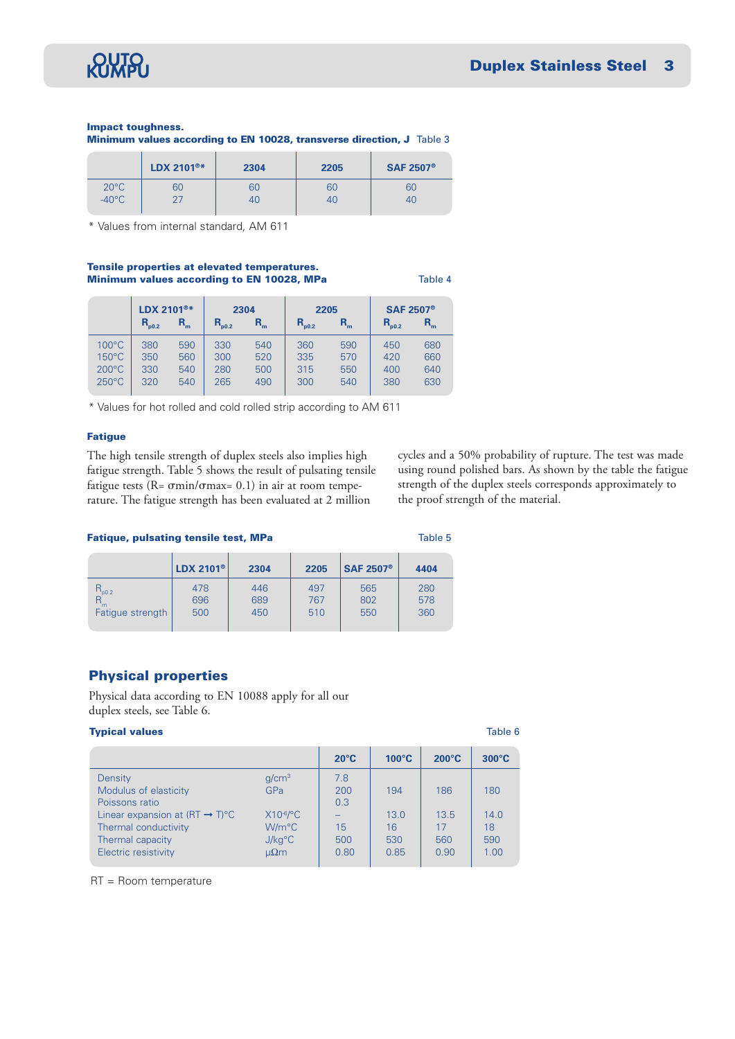

## Impact toughness.

Minimum values according to EN 10028, transverse direction, J Table 3

|                 | LDX 2101 <sup>®*</sup> | 2304 | 2205 | <b>SAF 2507<sup>®</sup></b> |
|-----------------|------------------------|------|------|-----------------------------|
| $20^{\circ}$ C  | 60                     | 60   | 60   | 60                          |
| $-40^{\circ}$ C |                        | 40   | 40   | 40                          |

\* Values from internal standard, AM 611

#### Tensile properties at elevated temperatures. Minimum values according to EN 10028, MPa<br>
Table 4

|                                                                          | LDX 2101 <sup>®*</sup>   |                          | 2304                     |                          | 2205                     |                          | <b>SAF 2507<sup>®</sup></b> |                          |
|--------------------------------------------------------------------------|--------------------------|--------------------------|--------------------------|--------------------------|--------------------------|--------------------------|-----------------------------|--------------------------|
|                                                                          | $R_{p0.2}$               | $R_{m}$                  | $R_{_{\rm p0.2}}$        | $R_{m}$                  | $R_{p0.2}$               | $R_{m}$                  | $R_{_{\rm p0.2}}$           | $R_m$                    |
| $100^{\circ}$ C<br>$150^{\circ}$ C<br>$200^{\circ}$ C<br>$250^{\circ}$ C | 380<br>350<br>330<br>320 | 590<br>560<br>540<br>540 | 330<br>300<br>280<br>265 | 540<br>520<br>500<br>490 | 360<br>335<br>315<br>300 | 590<br>570<br>550<br>540 | 450<br>420<br>400<br>380    | 680<br>660<br>640<br>630 |

\* Values for hot rolled and cold rolled strip according to AM 611

### Fatigue

The high tensile strength of duplex steels also implies high fatigue strength. Table 5 shows the result of pulsating tensile fatigue tests ( $R = \sigma \text{min}/\sigma \text{max} = 0.1$ ) in air at room temperature. The fatigue strength has been evaluated at 2 million

cycles and a 50% probability of rupture. The test was made using round polished bars. As shown by the table the fatigue strength of the duplex steels corresponds approximately to the proof strength of the material.

#### Fatique, pulsating tensile test, MPa Table 5

|                  | LDX 2101 <sup>®</sup> | 2304 | 2205 | <b>SAF 2507<sup>®</sup></b> | 4404 |
|------------------|-----------------------|------|------|-----------------------------|------|
| $R_{p0.2}$       | 478                   | 446  | 497  | 565                         | 280  |
| $R_{m}$          | 696                   | 689  | 767  | 802                         | 578  |
| Fatigue strength | 500                   | 450  | 510  | 550                         | 360  |

## Physical properties

Physical data according to EN 10088 apply for all our duplex steels, see Table 6.

#### **Typical values** The Table 6 and the Table 6 and the Table 6 and the Table 6 and the Table 6 and the Table 6 and the Table 6 and the Table 6 and the Table 6 and the Table 6 and the Table 6 and the Table 6 and the Table 6 a

|                                             |                           | $20^{\circ}$ C | $100^{\circ}$ C | $200^{\circ}$ C | $300^{\circ}$ C |
|---------------------------------------------|---------------------------|----------------|-----------------|-----------------|-----------------|
| Density                                     | g/cm <sup>3</sup>         | 7.8            |                 |                 |                 |
| Modulus of elasticity                       | GPa                       | 200            | 194             | 186             | 180             |
| Poissons ratio                              |                           | 0.3            |                 |                 |                 |
| Linear expansion at $(RT \rightarrow T)$ °C | $X10^{-6}$ <sup>o</sup> C |                | 13.0            | 13.5            | 14.0            |
| Thermal conductivity                        | W/m <sup>o</sup> C        | 15             | 16              | 17              | 18              |
| Thermal capacity                            | J/kg <sup>°</sup> C       | 500            | 530             | 560             | 590             |
| Electric resistivity                        | $\mu\Omega$ m             | 0.80           | 0.85            | 0.90            | 1.00            |
|                                             |                           |                |                 |                 |                 |

RT = Room temperature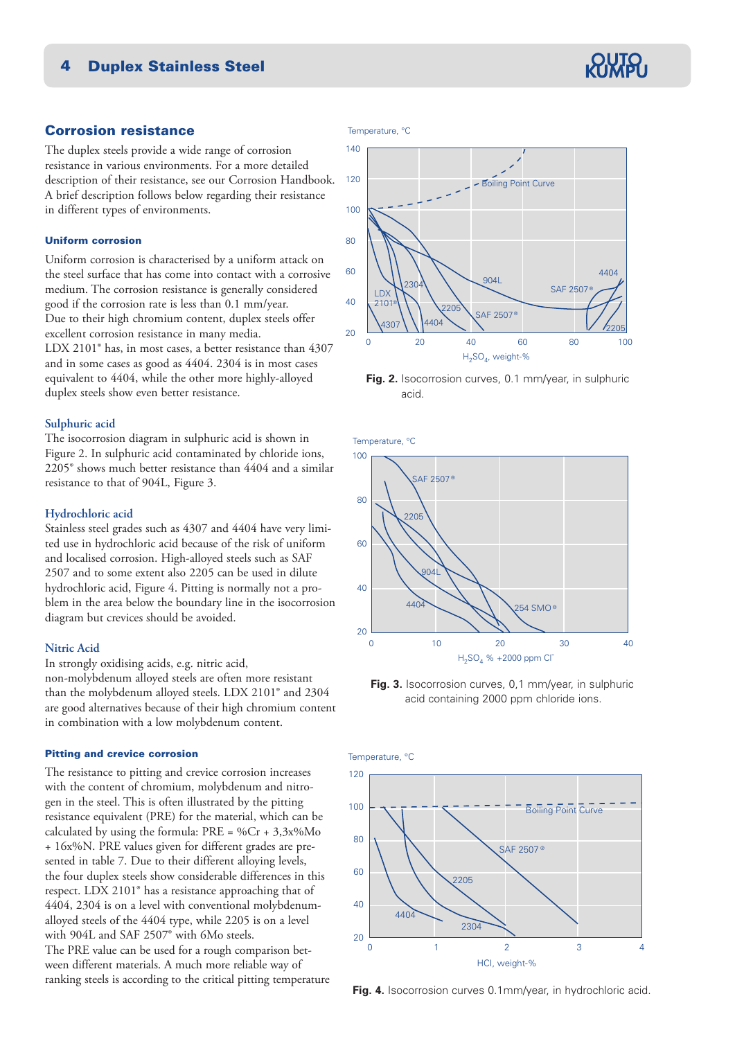# Corrosion resistance

The duplex steels provide a wide range of corrosion resistance in various environments. For a more detailed description of their resistance, see our Corrosion Handbook. A brief description follows below regarding their resistance in different types of environments.

#### Uniform corrosion

Uniform corrosion is characterised by a uniform attack on the steel surface that has come into contact with a corrosive medium. The corrosion resistance is generally considered good if the corrosion rate is less than 0.1 mm/year. Due to their high chromium content, duplex steels offer excellent corrosion resistance in many media. LDX 2101® has, in most cases, a better resistance than 4307 and in some cases as good as 4404. 2304 is in most cases equivalent to 4404, while the other more highly-alloyed duplex steels show even better resistance.

#### **Sulphuric acid**

The isocorrosion diagram in sulphuric acid is shown in Figure 2. In sulphuric acid contaminated by chloride ions, 2205® shows much better resistance than 4404 and a similar resistance to that of 904L, Figure 3.

#### **Hydrochloric acid**

Stainless steel grades such as 4307 and 4404 have very limited use in hydrochloric acid because of the risk of uniform and localised corrosion. High-alloyed steels such as SAF 2507 and to some extent also 2205 can be used in dilute hydrochloric acid, Figure 4. Pitting is normally not a problem in the area below the boundary line in the isocorrosion diagram but crevices should be avoided.

### **Nitric Acid**

In strongly oxidising acids, e.g. nitric acid, non-molybdenum alloyed steels are often more resistant than the molybdenum alloyed steels. LDX 2101® and 2304 are good alternatives because of their high chromium content in combination with a low molybdenum content.

#### Pitting and crevice corrosion

The resistance to pitting and crevice corrosion increases with the content of chromium, molybdenum and nitrogen in the steel. This is often illustrated by the pitting resistance equivalent (PRE) for the material, which can be calculated by using the formula:  $PRE = \%Cr + 3,3x\%Mo$ + 16x%N. PRE values given for different grades are presented in table 7. Due to their different alloying levels, the four duplex steels show considerable differences in this respect. LDX 2101® has a resistance approaching that of 4404, 2304 is on a level with conventional molybdenumalloyed steels of the 4404 type, while 2205 is on a level with 904L and SAF 2507® with 6Mo steels. The PRE value can be used for a rough comparison between different materials. A much more reliable way of ranking steels is according to the critical pitting temperature

#### Temperature, °C



**Fig. 2.** Isocorrosion curves, 0.1 mm/year, in sulphuric acid.

Temperature, °C



**Fig. 3.** Isocorrosion curves, 0,1 mm/year, in sulphuric acid containing 2000 ppm chloride ions.





**Fig. 4.** Isocorrosion curves 0.1mm/year, in hydrochloric acid.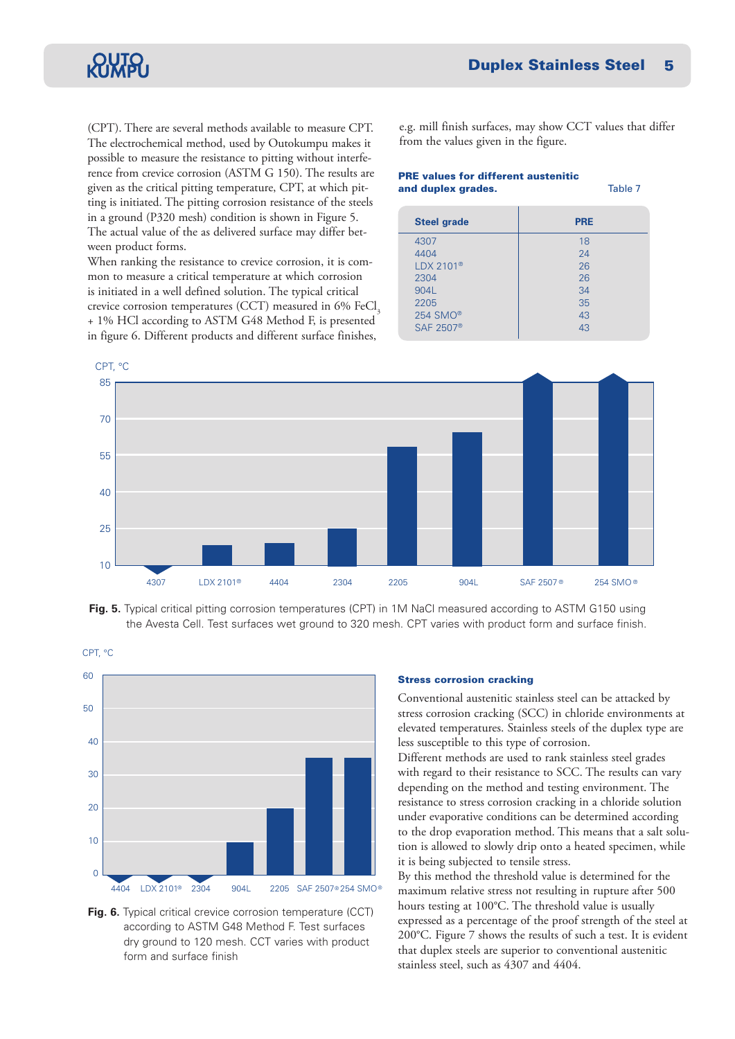(CPT). There are several methods available to measure CPT. The electrochemical method, used by Outokumpu makes it possible to measure the resistance to pitting without interference from crevice corrosion (ASTM G 150). The results are given as the critical pitting temperature, CPT, at which pitting is initiated. The pitting corrosion resistance of the steels in a ground (P320 mesh) condition is shown in Figure 5. The actual value of the as delivered surface may differ between product forms.

When ranking the resistance to crevice corrosion, it is common to measure a critical temperature at which corrosion is initiated in a well defined solution. The typical critical crevice corrosion temperatures (CCT) measured in  $6\%$  FeCl<sub>3</sub> + 1% HCl according to ASTM G48 Method F, is presented in figure 6. Different products and different surface finishes,

e.g. mill finish surfaces, may show CCT values that differ from the values given in the figure.

#### PRE values for different austenitic and duplex grades. Table 7

| <b>Steel grade</b>    | <b>PRE</b> |
|-----------------------|------------|
| 4307                  | 18         |
| 4404                  | 24         |
| $LDX 2101^{\circ}$    | 26         |
| 2304                  | 26         |
| 904L                  | 34         |
| 2205                  | 35         |
| 254 SMO <sup>®</sup>  | 43         |
| SAF 2507 <sup>®</sup> | 43         |
|                       |            |



**Fig. 5.** Typical critical pitting corrosion temperatures (CPT) in 1M NaCl measured according to ASTM G150 using the Avesta Cell. Test surfaces wet ground to 320 mesh. CPT varies with product form and surface finish.



**Fig. 6.** Typical critical crevice corrosion temperature (CCT) according to ASTM G48 Method F. Test surfaces dry ground to 120 mesh. CCT varies with product form and surface finish

#### Stress corrosion cracking

Conventional austenitic stainless steel can be attacked by stress corrosion cracking (SCC) in chloride environments at elevated temperatures. Stainless steels of the duplex type are less susceptible to this type of corrosion.

Different methods are used to rank stainless steel grades with regard to their resistance to SCC. The results can vary depending on the method and testing environment. The resistance to stress corrosion cracking in a chloride solution under evaporative conditions can be determined according to the drop evaporation method. This means that a salt solution is allowed to slowly drip onto a heated specimen, while it is being subjected to tensile stress.

By this method the threshold value is determined for the maximum relative stress not resulting in rupture after 500 hours testing at 100°C. The threshold value is usually expressed as a percentage of the proof strength of the steel at 200°C. Figure 7 shows the results of such a test. It is evident that duplex steels are superior to conventional austenitic stainless steel, such as 4307 and 4404.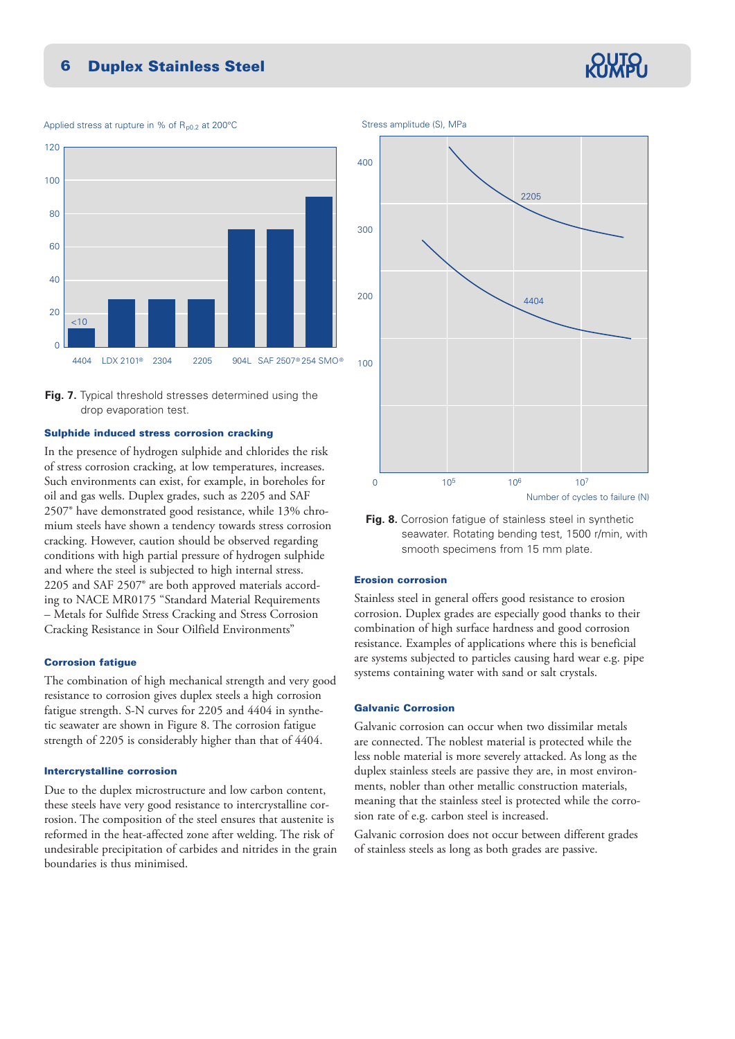Applied stress at rupture in % of  $R_{p0.2}$  at 200°C



**Fig. 7.** Typical threshold stresses determined using the drop evaporation test.

#### Sulphide induced stress corrosion cracking

In the presence of hydrogen sulphide and chlorides the risk of stress corrosion cracking, at low temperatures, increases. Such environments can exist, for example, in boreholes for oil and gas wells. Duplex grades, such as 2205 and SAF 2507® have demonstrated good resistance, while 13% chromium steels have shown a tendency towards stress corrosion cracking. However, caution should be observed regarding conditions with high partial pressure of hydrogen sulphide and where the steel is subjected to high internal stress. 2205 and SAF 2507® are both approved materials according to NACE MR0175 "Standard Material Requirements – Metals for Sulfide Stress Cracking and Stress Corrosion Cracking Resistance in Sour Oilfield Environments"

#### Corrosion fatigue

The combination of high mechanical strength and very good resistance to corrosion gives duplex steels a high corrosion fatigue strength. S-N curves for 2205 and 4404 in synthetic seawater are shown in Figure 8. The corrosion fatigue strength of 2205 is considerably higher than that of 4404.

#### Intercrystalline corrosion

Due to the duplex microstructure and low carbon content, these steels have very good resistance to intercrystalline corrosion. The composition of the steel ensures that austenite is reformed in the heat-affected zone after welding. The risk of undesirable precipitation of carbides and nitrides in the grain boundaries is thus minimised.



**Fig. 8.** Corrosion fatigue of stainless steel in synthetic seawater. Rotating bending test, 1500 r/min, with smooth specimens from 15 mm plate.

#### Erosion corrosion

Stainless steel in general offers good resistance to erosion corrosion. Duplex grades are especially good thanks to their combination of high surface hardness and good corrosion resistance. Examples of applications where this is beneficial are systems subjected to particles causing hard wear e.g. pipe systems containing water with sand or salt crystals.

### Galvanic Corrosion

Galvanic corrosion can occur when two dissimilar metals are connected. The noblest material is protected while the less noble material is more severely attacked. As long as the duplex stainless steels are passive they are, in most environments, nobler than other metallic construction materials, meaning that the stainless steel is protected while the corrosion rate of e.g. carbon steel is increased.

Galvanic corrosion does not occur between different grades of stainless steels as long as both grades are passive.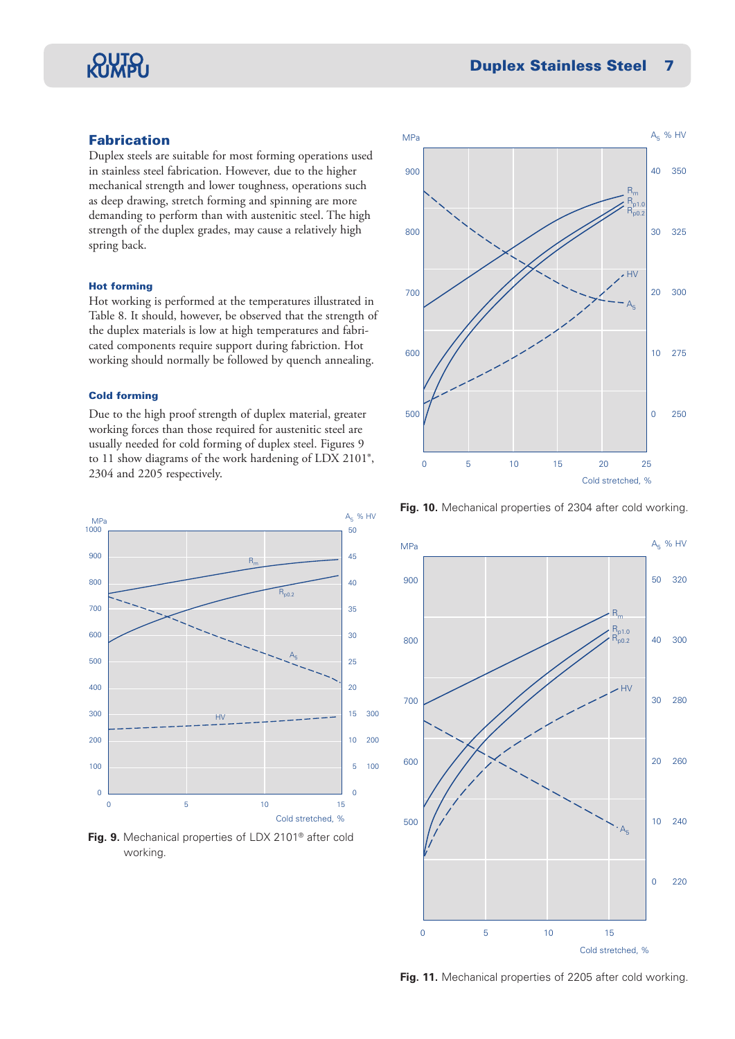# RIMPU

# Fabrication

Duplex steels are suitable for most forming operations used in stainless steel fabrication. However, due to the higher mechanical strength and lower toughness, operations such as deep drawing, stretch forming and spinning are more demanding to perform than with austenitic steel. The high strength of the duplex grades, may cause a relatively high spring back.

#### Hot forming

Hot working is performed at the temperatures illustrated in Table 8. It should, however, be observed that the strength of the duplex materials is low at high temperatures and fabricated components require support during fabriction. Hot working should normally be followed by quench annealing.

#### Cold forming

Due to the high proof strength of duplex material, greater working forces than those required for austenitic steel are usually needed for cold forming of duplex steel. Figures 9 to 11 show diagrams of the work hardening of LDX 2101®, 2304 and 2205 respectively.



**Fig. 9.** Mechanical properties of LDX 2101® after cold working.







**Fig. 11.** Mechanical properties of 2205 after cold working.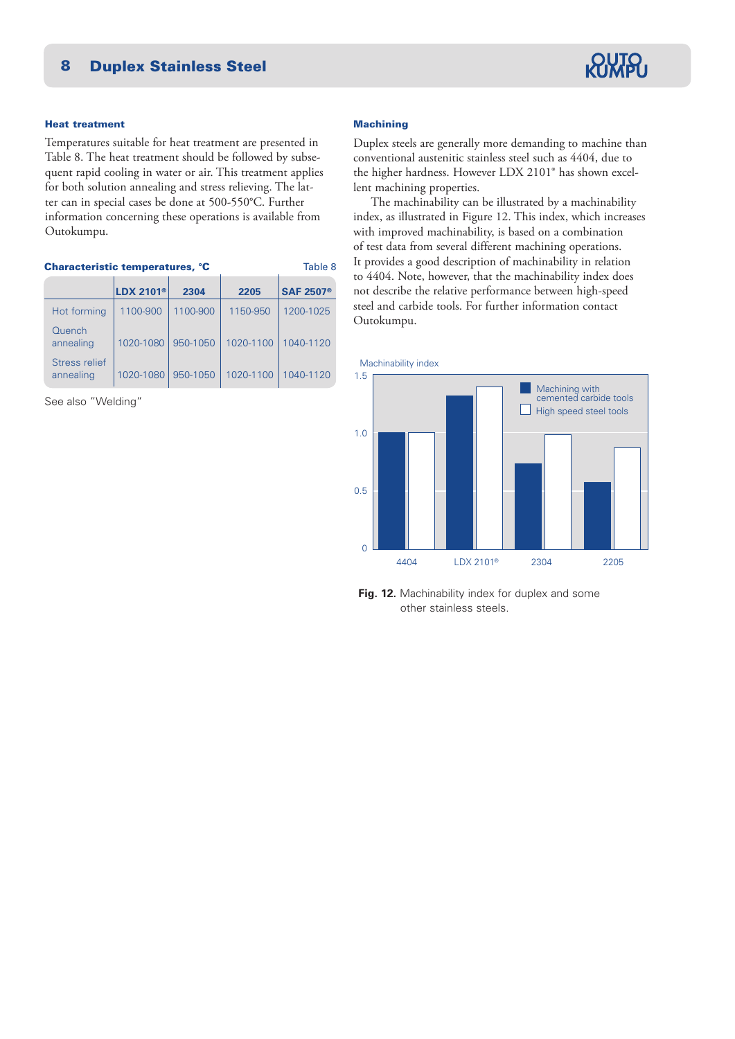

#### Heat treatment

Temperatures suitable for heat treatment are presented in Table 8. The heat treatment should be followed by subsequent rapid cooling in water or air. This treatment applies for both solution annealing and stress relieving. The latter can in special cases be done at 500-550°C. Further information concerning these operations is available from Outokumpu.

| Table 8<br><b>Characteristic temperatures, °C</b> |                             |          |           |                             |  |  |  |
|---------------------------------------------------|-----------------------------|----------|-----------|-----------------------------|--|--|--|
|                                                   | <b>LDX 2101<sup>®</sup></b> | 2304     | 2205      | <b>SAF 2507<sup>®</sup></b> |  |  |  |
| Hot forming                                       | 1100-900                    | 1100-900 | 1150-950  | 1200-1025                   |  |  |  |
| Quench<br>annealing                               | 1020-1080                   | 950-1050 | 1020-1100 | 1040-1120                   |  |  |  |
| Stress relief<br>annealing                        | 1020-1080                   | 950-1050 | 1020-1100 | 1040-1120                   |  |  |  |

See also "Welding"

#### **Machining**

Duplex steels are generally more demanding to machine than conventional austenitic stainless steel such as 4404, due to the higher hardness. However LDX 2101® has shown excellent machining properties.

 The machinability can be illustrated by a machinability index, as illustrated in Figure 12. This index, which increases with improved machinability, is based on a combination of test data from several different machining operations. It provides a good description of machinability in relation to 4404. Note, however, that the machinability index does not describe the relative performance between high-speed steel and carbide tools. For further information contact Outokumpu.



**Fig. 12.** Machinability index for duplex and some other stainless steels.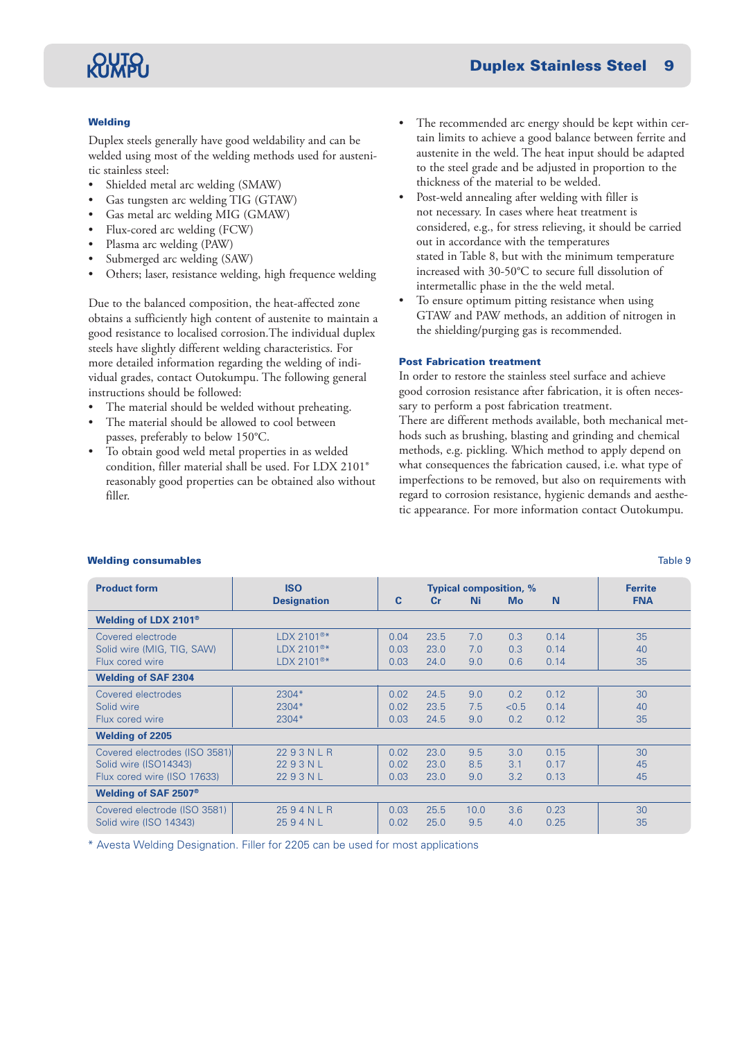# **RIVA**

## **Welding**

Duplex steels generally have good weldability and can be welded using most of the welding methods used for austenitic stainless steel:

- Shielded metal arc welding (SMAW)
- Gas tungsten arc welding TIG (GTAW)
- Gas metal arc welding MIG (GMAW)
- Flux-cored arc welding (FCW)
- Plasma arc welding (PAW)
- Submerged arc welding (SAW)
- Others; laser, resistance welding, high frequence welding

Due to the balanced composition, the heat-affected zone obtains a sufficiently high content of austenite to maintain a good resistance to localised corrosion.The individual duplex steels have slightly different welding characteristics. For more detailed information regarding the welding of individual grades, contact Outokumpu. The following general instructions should be followed:

- The material should be welded without preheating.
- The material should be allowed to cool between passes, preferably to below 150°C.
- To obtain good weld metal properties in as welded condition, filler material shall be used. For LDX 2101® reasonably good properties can be obtained also without filler.
- The recommended arc energy should be kept within certain limits to achieve a good balance between ferrite and austenite in the weld. The heat input should be adapted to the steel grade and be adjusted in proportion to the thickness of the material to be welded.
- Post-weld annealing after welding with filler is not necessary. In cases where heat treatment is considered, e.g., for stress relieving, it should be carried out in accordance with the temperatures stated in Table 8, but with the minimum temperature increased with 30-50°C to secure full dissolution of intermetallic phase in the the weld metal.
- To ensure optimum pitting resistance when using GTAW and PAW methods, an addition of nitrogen in the shielding/purging gas is recommended.

#### Post Fabrication treatment

In order to restore the stainless steel surface and achieve good corrosion resistance after fabrication, it is often necessary to perform a post fabrication treatment.

There are different methods available, both mechanical methods such as brushing, blasting and grinding and chemical methods, e.g. pickling. Which method to apply depend on what consequences the fabrication caused, i.e. what type of imperfections to be removed, but also on requirements with regard to corrosion resistance, hygienic demands and aesthetic appearance. For more information contact Outokumpu.

| <b>Product form</b>              | <b>ISO</b>             |      |                | <b>Typical composition, %</b> |           |      | <b>Ferrite</b> |
|----------------------------------|------------------------|------|----------------|-------------------------------|-----------|------|----------------|
|                                  | <b>Designation</b>     | C    | $\mathbf{C}$ r | <b>Ni</b>                     | <b>Mo</b> | N    | <b>FNA</b>     |
| Welding of LDX 2101 <sup>®</sup> |                        |      |                |                               |           |      |                |
| Covered electrode                | $LDX 2101^{\circ\ast}$ | 0.04 | 23.5           | 7.0                           | 0.3       | 0.14 | 35             |
| Solid wire (MIG, TIG, SAW)       | $LDX 2101^{\circ\ast}$ | 0.03 | 23.0           | 7.0                           | 0.3       | 0.14 | 40             |
| Flux cored wire                  | LDX 2101 <sup>®*</sup> | 0.03 | 24.0           | 9.0                           | 0.6       | 0.14 | 35             |
| <b>Welding of SAF 2304</b>       |                        |      |                |                               |           |      |                |
| Covered electrodes               | 2304*                  | 0.02 | 24.5           | 9.0                           | 0.2       | 0.12 | 30             |
| Solid wire                       | $2304*$                | 0.02 | 23.5           | 7.5                           | < 0.5     | 0.14 | 40             |
| Flux cored wire                  | 2304*                  | 0.03 | 24.5           | 9.0                           | 0.2       | 0.12 | 35             |
| <b>Welding of 2205</b>           |                        |      |                |                               |           |      |                |
| Covered electrodes (ISO 3581)    | 2293NLR                | 0.02 | 23.0           | 9.5                           | 3.0       | 0.15 | 30             |
| Solid wire (ISO14343)            | 2293NL                 | 0.02 | 23.0           | 8.5                           | 3.1       | 0.17 | 45             |
| Flux cored wire (ISO 17633)      | 2293NL                 | 0.03 | 23.0           | 9.0                           | 3.2       | 0.13 | 45             |
| Welding of SAF 2507 <sup>®</sup> |                        |      |                |                               |           |      |                |
| Covered electrode (ISO 3581)     | 2594NLR                | 0.03 | 25.5           | 10.0                          | 3.6       | 0.23 | 30             |
| Solid wire (ISO 14343)           | 2594NL                 | 0.02 | 25.0           | 9.5                           | 4.0       | 0.25 | 35             |

### **Welding consumables** Table 9

\* Avesta Welding Designation. Filler for 2205 can be used for most applications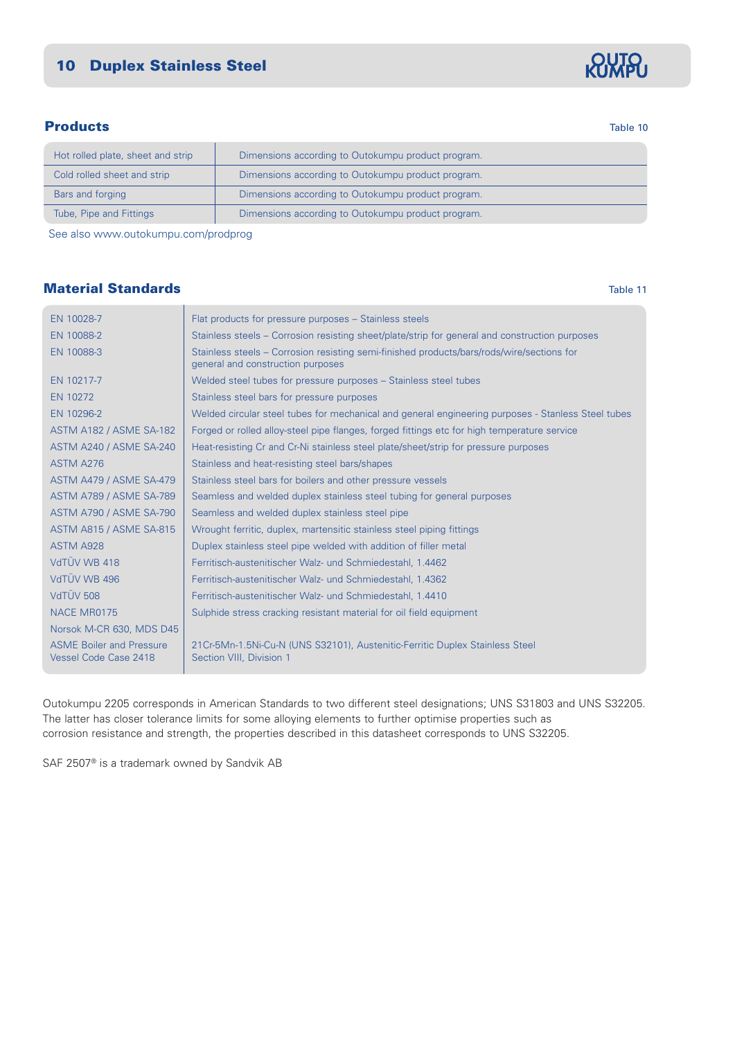# **Products** Table 10

Norsok M-CR 630, MDS D45

| Hot rolled plate, sheet and strip | Dimensions according to Outokumpu product program. |
|-----------------------------------|----------------------------------------------------|
| Cold rolled sheet and strip       | Dimensions according to Outokumpu product program. |
| Bars and forging                  | Dimensions according to Outokumpu product program. |
| Tube, Pipe and Fittings           | Dimensions according to Outokumpu product program. |

See also www.outokumpu.com/prodprog

EN 10028-7 Flat products for pressure purposes – Stainless steels

NACE MR0175 Sulphide stress cracking resistant material for oil field equipment

# **Material Standards** Table 11 **Material Standards** Table 11 **Table 11**

|                                | general and construction purposes                                                                  |
|--------------------------------|----------------------------------------------------------------------------------------------------|
| EN 10217-7                     | Welded steel tubes for pressure purposes – Stainless steel tubes                                   |
| EN 10272                       | Stainless steel bars for pressure purposes                                                         |
| EN 10296-2                     | Welded circular steel tubes for mechanical and general engineering purposes - Stanless Steel tubes |
| <b>ASTM A182 / ASME SA-182</b> | Forged or rolled alloy-steel pipe flanges, forged fittings etc for high temperature service        |
| <b>ASTM A240 / ASME SA-240</b> | Heat-resisting Cr and Cr-Ni stainless steel plate/sheet/strip for pressure purposes                |
| ASTM A276                      | Stainless and heat-resisting steel bars/shapes                                                     |
| <b>ASTM A479 / ASME SA-479</b> | Stainless steel bars for boilers and other pressure vessels                                        |
| <b>ASTM A789 / ASME SA-789</b> | Seamless and welded duplex stainless steel tubing for general purposes                             |
| ASTM A790 / ASME SA-790        | Seamless and welded duplex stainless steel pipe                                                    |
| <b>ASTM A815 / ASME SA-815</b> | Wrought ferritic, duplex, martensitic stainless steel piping fittings                              |
| <b>ASTM A928</b>               | Duplex stainless steel pipe welded with addition of filler metal                                   |
| VdTUV WB 418                   | Ferritisch-austenitischer Walz- und Schmiedestahl, 1.4462                                          |
| VdTUV WB 496                   | Ferritisch-austenitischer Walz- und Schmiedestahl, 1.4362                                          |
| VdTÜV 508                      | Ferritisch-austenitischer Walz- und Schmiedestahl, 1.4410                                          |

EN 10088-2 Stainless steels – Corrosion resisting sheet/plate/strip for general and construction purposes EN 10088-3 Stainless steels – Corrosion resisting semi-finished products/bars/rods/wire/sections for

ASME Boiler and Pressure | 21Cr-5Mn-1.5Ni-Cu-N (UNS S32101), Austenitic-Ferritic Duplex Stainless Steel Vessel Code Case 2418 | Section VIII, Division 1

Outokumpu 2205 corresponds in American Standards to two different steel designations; UNS S31803 and UNS S32205. The latter has closer tolerance limits for some alloying elements to further optimise properties such as corrosion resistance and strength, the properties described in this datasheet corresponds to UNS S32205.

SAF 2507® is a trademark owned by Sandvik AB

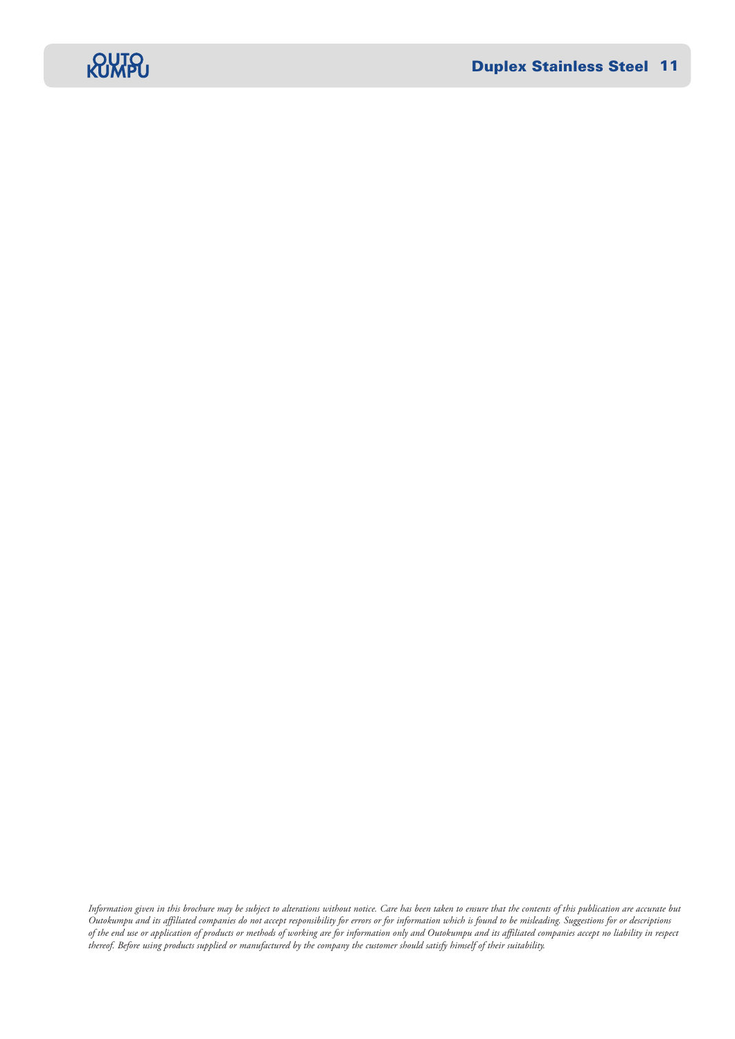

*Information given in this brochure may be subject to alterations without notice. Care has been taken to ensure that the contents of this publication are accurate but Outokumpu and its affiliated companies do not accept responsibility for errors or for information which is found to be misleading. Suggestions for or descriptions of the end use or application of products or methods of working are for information only and Outokumpu and its affiliated companies accept no liability in respect thereof. Before using products supplied or manufactured by the company the customer should satisfy himself of their suitability.*